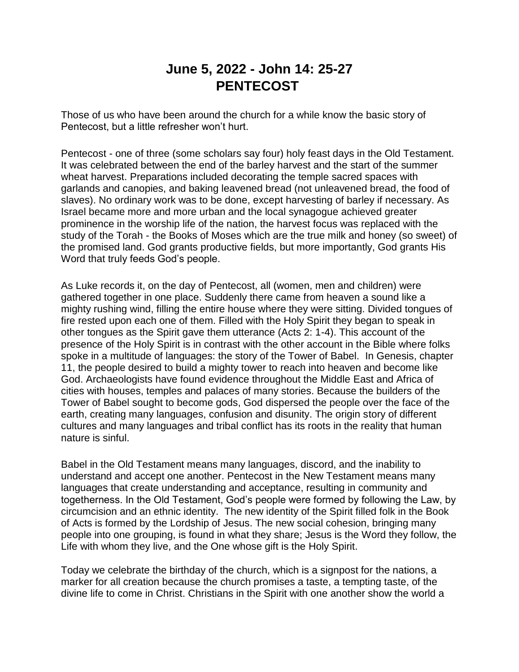## **June 5, 2022 - John 14: 25-27 PENTECOST**

Those of us who have been around the church for a while know the basic story of Pentecost, but a little refresher won't hurt.

Pentecost - one of three (some scholars say four) holy feast days in the Old Testament. It was celebrated between the end of the barley harvest and the start of the summer wheat harvest. Preparations included decorating the temple sacred spaces with garlands and canopies, and baking leavened bread (not unleavened bread, the food of slaves). No ordinary work was to be done, except harvesting of barley if necessary. As Israel became more and more urban and the local synagogue achieved greater prominence in the worship life of the nation, the harvest focus was replaced with the study of the Torah - the Books of Moses which are the true milk and honey (so sweet) of the promised land. God grants productive fields, but more importantly, God grants His Word that truly feeds God's people.

As Luke records it, on the day of Pentecost, all (women, men and children) were gathered together in one place. Suddenly there came from heaven a sound like a mighty rushing wind, filling the entire house where they were sitting. Divided tongues of fire rested upon each one of them. Filled with the Holy Spirit they began to speak in other tongues as the Spirit gave them utterance (Acts 2: 1-4). This account of the presence of the Holy Spirit is in contrast with the other account in the Bible where folks spoke in a multitude of languages: the story of the Tower of Babel. In Genesis, chapter 11, the people desired to build a mighty tower to reach into heaven and become like God. Archaeologists have found evidence throughout the Middle East and Africa of cities with houses, temples and palaces of many stories. Because the builders of the Tower of Babel sought to become gods, God dispersed the people over the face of the earth, creating many languages, confusion and disunity. The origin story of different cultures and many languages and tribal conflict has its roots in the reality that human nature is sinful.

Babel in the Old Testament means many languages, discord, and the inability to understand and accept one another. Pentecost in the New Testament means many languages that create understanding and acceptance, resulting in community and togetherness. In the Old Testament, God's people were formed by following the Law, by circumcision and an ethnic identity. The new identity of the Spirit filled folk in the Book of Acts is formed by the Lordship of Jesus. The new social cohesion, bringing many people into one grouping, is found in what they share; Jesus is the Word they follow, the Life with whom they live, and the One whose gift is the Holy Spirit.

Today we celebrate the birthday of the church, which is a signpost for the nations, a marker for all creation because the church promises a taste, a tempting taste, of the divine life to come in Christ. Christians in the Spirit with one another show the world a